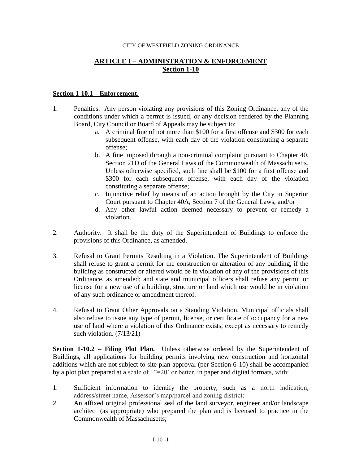## CITY OF WESTFIELD ZONING ORDINANCE

## **ARTICLE I – ADMINISTRATION & ENFORCEMENT Section 1-10**

## **Section 1-10.1 – Enforcement.**

- 1. Penalties. Any person violating any provisions of this Zoning Ordinance, any of the conditions under which a permit is issued, or any decision rendered by the Planning Board, City Council or Board of Appeals may be subject to:
	- a. A criminal fine of not more than \$100 for a first offense and \$300 for each subsequent offense, with each day of the violation constituting a separate offense;
	- b. A fine imposed through a non-criminal complaint pursuant to Chapter 40, Section 21D of the General Laws of the Commonwealth of Massachusetts. Unless otherwise specified, such fine shall be \$100 for a first offense and \$300 for each subsequent offense, with each day of the violation constituting a separate offense;
	- c. Injunctive relief by means of an action brought by the City in Superior Court pursuant to Chapter 40A, Section 7 of the General Laws; and/or
	- d. Any other lawful action deemed necessary to prevent or remedy a violation.
- 2. Authority. It shall be the duty of the Superintendent of Buildings to enforce the provisions of this Ordinance, as amended.
- 3. Refusal to Grant Permits Resulting in a Violation. The Superintendent of Buildings shall refuse to grant a permit for the construction or alteration of any building, if the building as constructed or altered would be in violation of any of the provisions of this Ordinance, as amended; and state and municipal officers shall refuse any permit or license for a new use of a building, structure or land which use would be in violation of any such ordinance or amendment thereof.
- 4. Refusal to Grant Other Approvals on a Standing Violation. Municipal officials shall also refuse to issue any type of permit, license, or certificate of occupancy for a new use of land where a violation of this Ordinance exists, except as necessary to remedy such violation. (7/13/21)

**Section 1-10.2 – Filing Plot Plan.** Unless otherwise ordered by the Superintendent of Buildings, all applications for building permits involving new construction and horizontal additions which are not subject to site plan approval (per Section 6-10) shall be accompanied by a plot plan prepared at a scale of 1"=20' or better, in paper and digital formats, with:

- 1. Sufficient information to identify the property, such as a north indication, address/street name, Assessor's map/parcel and zoning district;
- 2. An affixed original professional seal of the land surveyor, engineer and/or landscape architect (as appropriate) who prepared the plan and is licensed to practice in the Commonwealth of Massachusetts;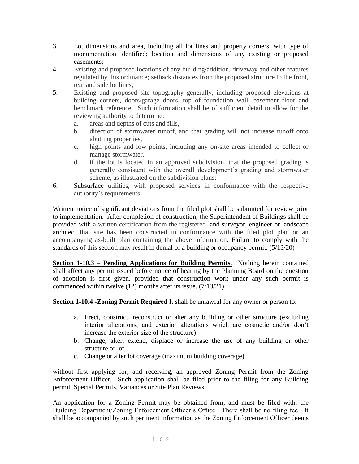- 3. Lot dimensions and area, including all lot lines and property corners, with type of monumentation identified; location and dimensions of any existing or proposed easements;
- 4. Existing and proposed locations of any building/addition, driveway and other features regulated by this ordinance; setback distances from the proposed structure to the front, rear and side lot lines;
- 5. Existing and proposed site topography generally, including proposed elevations at building corners, doors/garage doors, top of foundation wall, basement floor and benchmark reference. Such information shall be of sufficient detail to allow for the reviewing authority to determine:
	- a. areas and depths of cuts and fills,
	- b. direction of stormwater runoff, and that grading will not increase runoff onto abutting properties,
	- c. high points and low points, including any on-site areas intended to collect or manage stormwater,
	- d. if the lot is located in an approved subdivision, that the proposed grading is generally consistent with the overall development's grading and stormwater scheme, as illustrated on the subdivision plans;
- 6. Subsurface utilities, with proposed services in conformance with the respective authority's requirements.

Written notice of significant deviations from the filed plot shall be submitted for review prior to implementation. After completion of construction, the Superintendent of Buildings shall be provided with a written certification from the registered land surveyor, engineer or landscape architect that site has been constructed in conformance with the filed plot plan or an accompanying as-built plan containing the above information. Failure to comply with the standards of this section may result in denial of a building or occupancy permit. (5/13/20)

**<u>Section 1-10.3 – Pending Applications for Building Permits.</u> Nothing herein contained** shall affect any permit issued before notice of hearing by the Planning Board on the question of adoption is first given, provided that construction work under any such permit is commenced within twelve (12) months after its issue. (7/13/21)

**Section 1-10.4 - Zoning Permit Required** It shall be unlawful for any owner or person to:

- a. Erect, construct, reconstruct or alter any building or other structure (excluding interior alterations, and exterior alterations which are cosmetic and/or don't increase the exterior size of the structure).
- b. Change, alter, extend, displace or increase the use of any building or other structure or lot,
- c. Change or alter lot coverage (maximum building coverage)

without first applying for, and receiving, an approved Zoning Permit from the Zoning Enforcement Officer. Such application shall be filed prior to the filing for any Building permit, Special Permits, Variances or Site Plan Reviews.

An application for a Zoning Permit may be obtained from, and must be filed with, the Building Department/Zoning Enforcement Officer's Office. There shall be no filing fee. It shall be accompanied by such pertinent information as the Zoning Enforcement Officer deems